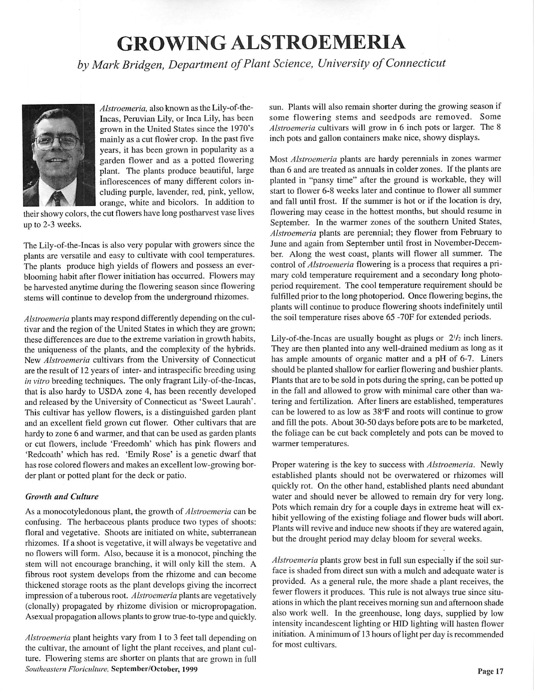## *GROWING ALSTROEMERIA*

**byMark Bridgen, Department ofPlant Science, University ofConnecticut**



**Alstroemeria,** also known as the Lily-of-the-Incas, Peruvian Lily, or Inca Lily, has been grown in the United States since the 1970's mainly as a cut flower crop. In the past five years, it has been grown in popularity as a garden flower and as a potted flowering plant. The plants produce beautiful, large inflorescences of many different colors in cluding purple, lavender, red, pink, yellow, orange, white and bicolors. In addition to

their showy colors, the cut flowers have long postharvest vase lives up to 2-3 weeks.

The Lily-of-the-Incas is also very popular with growers since the plants are versatile and easy to cultivate with cool temperatures. The plants produce high yields of flowers and possess an everblooming habit after flower initiation has occurred. Flowers may be harvested anytime during the flowering season since flowering stems will continue to develop from the underground rhizomes.

**Alstroemeria** plants may respond differently depending on the cultivar and the region of the United States in which they are grown; these differences are due to the extreme variation in growth habits, the uniqueness of the plants, and the complexity of the hybrids. New **Alstroemeria** cultivars from the University of Connecticut are the result of 12 years of inter- and intraspecific breeding using **in vitro** breeding techniques. The only fragrant Lily-of-the-Incas, that is also hardy to USDA zone 4, has been recently developed and released by the University of Connecticut as 'Sweet Laurah'. This cultivar has yellow flowers, is a distinguished garden plant and an excellent field grown cut flower. Other cultivars that are hardy to zone 6 and warmer, and that can be used as garden plants or cut flowers, include 'Freedomh' which has pink flowers and 'Rcdcoath' which has red. 'Emily Rose' is a genetic dwarf that has rose colored flowers and makes an excellent low-growing bor der plant or potted plant for the deck or patio.

## **Growth and Culture**

As a monocotyledonous plant, the growth of **Alstroemeria** can be confusing. The herbaceous plants produce two types of shoots: floral and vegetative. Shoots are initiated on white, subterranean rhizomes. If a shoot is vegetative, it will always be vegetative and no flowers will form. Also, because it is a monocot, pinching the stem will not encourage branching, it will only kill the stem. A fibrous root system develops from the rhizome and can become thickened storage roots as the plant develops giving the incorrect impression of a tuberous root. **Alstroemeria** plants are vegetatively (clonally) propagated by rhizome division or micropropagation. Asexual propagation allows plants to grow true-to-type and quickly.

**Alstroemeria** plant heights vary from 1 to 3 feet tall depending on the cultivar, the amount of light the plant receives, and plant cul ture. Flowering stems are shorter on plants that are grown in full **Southeastern Floriculture,** September/October, 1999

sun. Plants will also remain shorter during the growing season if some flowering stems and seedpods are removed. Some **Alstroemeria** cultivars will grow in 6 inch pots or larger. The 8 inch pots and gallon containers make nice, showy displays.

Most **Alstroemeria** plants are hardy perennials in zones warmer than 6 and are treated as annuals in colder zones. If the plants are planted in "pansy time" after the ground is workable, they will start to flower 6-8 weeks later and continue to flower all summer and fall until frost. If the summer is hot or if the location is dry, flowering may cease in the hottest months, but should resume in September. In the warmer zones of the southern United States, **Alstroemeria** plants are perennial; they flower from February to June and again from September until frost in November-Decem ber. Along the west coast, plants will flower all summer. The control of **Alstroemeria** flowering is a process that requires a pri mary cold temperature requirement and a secondary long photoperiod requirement. The cool temperature requirement should be fulfilled prior to the long photoperiod. Once flowering begins, the plants will continue to produce flowering shoots indefinitely until the soil temperature rises above 65 -70F for extended periods.

Lily-of-the-Incas are usually bought as plugs or  $2\frac{1}{2}$  inch liners. They are then planted into any well-drained medium as long as it has ample amounts of organic matter and a pH of 6-7. Liners should be planted shallow for earlier flowering and bushier plants. Plants that are to be sold in pots during the spring, can be potted up in the fall and allowed to grow with minimal care other than wa tering and fertilization. After liners are established, temperatures can be lowered to as low as 38°F and roots will continue to grow and fill the pots. About 30-50 days before pots are to be marketed, the foliage can be cut back completely and pots can be moved to warmer temperatures.

Proper watering is the key to success with **Alstroemeria.** Newly established plants should not be overwatered or rhizomes will quickly rot. On the other hand, established plants need abundant water and should never be allowed to remain dry for very long. Pots which remain dry for a couple days in extreme heat will ex hibit yellowing of the existing foliage and flower buds will abort. Plants will revive and induce new shoots if they are watered again, but the drought period may delay bloom for several weeks.

**Alstroemeria** plants grow best in full sun especially if the soil sur face is shaded from direct sun with a mulch and adequate water is provided. As a general rule, the more shade a plant receives, the fewer flowers it produces. This rule is not always true since situ ations in which the plant receives morning sun and afternoon shade also work well. In the greenhouse, long days, supplied by low intensity incandescent lighting or HID lighting will hasten flower initiation. A minimum of 13 hours of light per day is recommended for most cultivars.